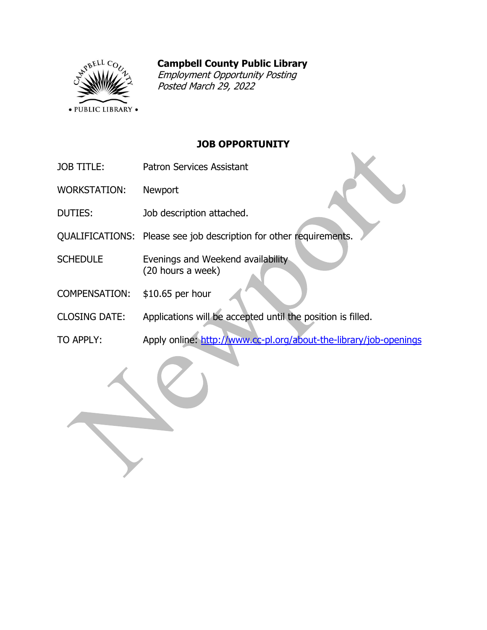# **Campbell County Public Library**



Employment Opportunity Posting Posted March 29, 2022

# **JOB OPPORTUNITY**

- JOB TITLE: Patron Services Assistant
- WORKSTATION: Newport
- DUTIES: Job description attached.
- QUALIFICATIONS: Please see job description for other requirements.
- SCHEDULE Evenings and Weekend availability (20 hours a week)
- COMPENSATION: \$10.65 per hour
- CLOSING DATE: Applications will be accepted until the position is filled.
- TO APPLY: Apply online:<http://www.cc-pl.org/about-the-library/job-openings>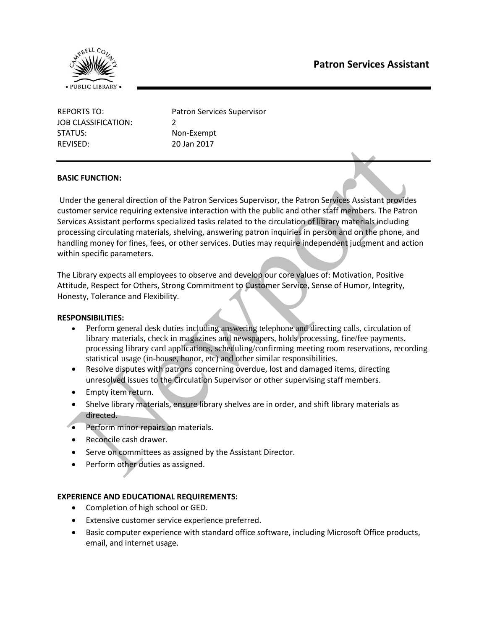

| REPORTS TO:         | <b>Patron Services Supervisor</b> |
|---------------------|-----------------------------------|
| JOB CLASSIFICATION: | $\mathcal{L}$                     |
| STATUS:             | Non-Exempt                        |
| REVISED:            | 20 Jan 2017                       |

## **BASIC FUNCTION:**

Under the general direction of the Patron Services Supervisor, the Patron Services Assistant provides customer service requiring extensive interaction with the public and other staff members. The Patron Services Assistant performs specialized tasks related to the circulation of library materials including processing circulating materials, shelving, answering patron inquiries in person and on the phone, and handling money for fines, fees, or other services. Duties may require independent judgment and action within specific parameters.

The Library expects all employees to observe and develop our core values of: Motivation, Positive Attitude, Respect for Others, Strong Commitment to Customer Service, Sense of Humor, Integrity, Honesty, Tolerance and Flexibility.

#### **RESPONSIBILITIES:**

- Perform general desk duties including answering telephone and directing calls, circulation of library materials, check in magazines and newspapers, holds processing, fine/fee payments, processing library card applications, scheduling/confirming meeting room reservations, recording statistical usage (in-house, honor, etc) and other similar responsibilities.
- Resolve disputes with patrons concerning overdue, lost and damaged items, directing unresolved issues to the Circulation Supervisor or other supervising staff members.
- Empty item return.
- Shelve library materials, ensure library shelves are in order, and shift library materials as directed.
- Perform minor repairs on materials.
- Reconcile cash drawer.
- Serve on committees as assigned by the Assistant Director.
- Perform other duties as assigned.

## **EXPERIENCE AND EDUCATIONAL REQUIREMENTS:**

- Completion of high school or GED.
- Extensive customer service experience preferred.
- Basic computer experience with standard office software, including Microsoft Office products, email, and internet usage.